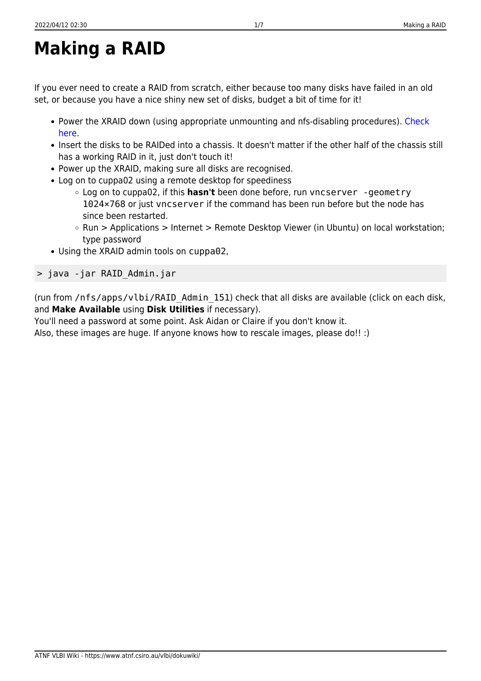## **Making a RAID**

If you ever need to create a RAID from scratch, either because too many disks have failed in an old set, or because you have a nice shiny new set of disks, budget a bit of time for it!

- Power the XRAID down (using appropriate unmounting and nfs-disabling procedures). [Check](https://www.atnf.csiro.au/vlbi/dokuwiki/doku.php/correlator/loaddisks) [here](https://www.atnf.csiro.au/vlbi/dokuwiki/doku.php/correlator/loaddisks).
- Insert the disks to be RAIDed into a chassis. It doesn't matter if the other half of the chassis still has a working RAID in it, just don't touch it!
- Power up the XRAID, making sure all disks are recognised.
- Log on to cuppa02 using a remote desktop for speediness
	- Log on to cuppa02, if this **hasn't** been done before, run vncserver -geometry 1024×768 or just vncserver if the command has been run before but the node has since been restarted.
	- Run > Applications > Internet > Remote Desktop Viewer (in Ubuntu) on local workstation; type password
- Using the XRAID admin tools on cuppa02,

> java -jar RAID\_Admin.jar

(run from /nfs/apps/vlbi/RAID\_Admin\_151) check that all disks are available (click on each disk, and **Make Available** using **Disk Utilities** if necessary).

You'll need a password at some point. Ask Aidan or Claire if you don't know it.

Also, these images are huge. If anyone knows how to rescale images, please do!! :)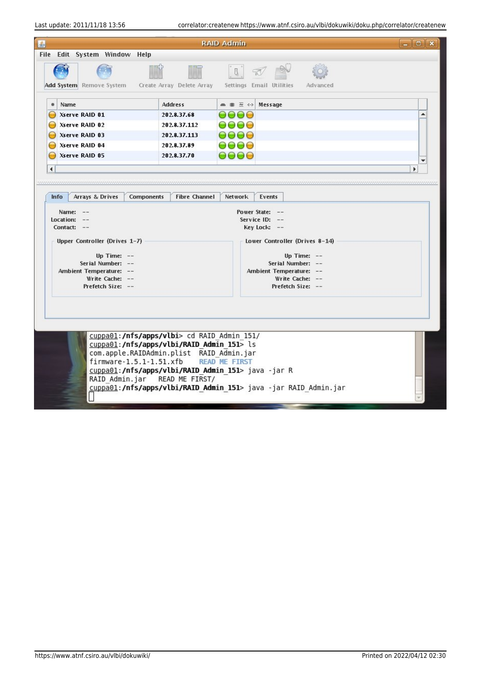Last update: 2011/11/18 13:56 correlator:createnew https://www.atnf.csiro.au/vlbi/dokuwiki/doku.php/correlator/createnew

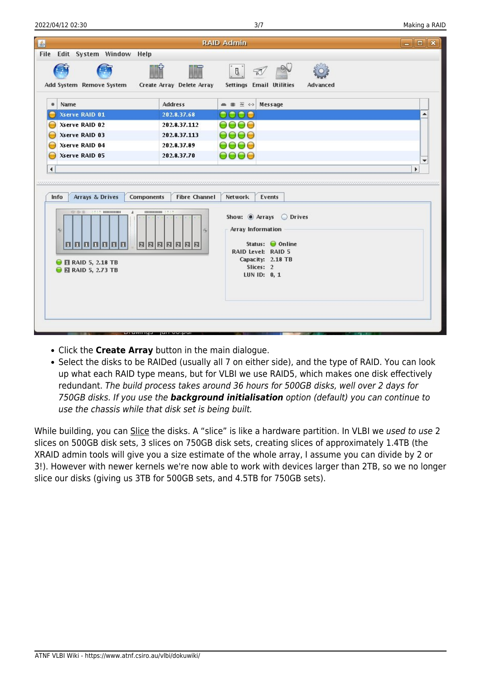| Edit System Window Help<br>File                                                                                                      |                                           | <b>RAID Admin</b>                                                                                                                               | $-$ 0 |
|--------------------------------------------------------------------------------------------------------------------------------------|-------------------------------------------|-------------------------------------------------------------------------------------------------------------------------------------------------|-------|
| Add System Remove System                                                                                                             | Create Array Delete Array                 | $\mathbf{R}$<br>Settings Email Utilities<br>Advanced                                                                                            |       |
| Name<br>۰                                                                                                                            | <b>Address</b>                            | ● 書 三 ↔<br>Message                                                                                                                              |       |
| Xserve RAID 01                                                                                                                       | 202.8.37.68                               |                                                                                                                                                 |       |
| Xserve RAID 02                                                                                                                       | 202.8.37.112                              | 0000                                                                                                                                            |       |
| Xserve RAID 03                                                                                                                       | 202.8.37.113                              | 9000                                                                                                                                            |       |
| Xserve RAID 04                                                                                                                       | 202.8.37.89                               | 9000                                                                                                                                            |       |
| Xserve RAID 05                                                                                                                       | 202.8.37.70                               | $\Theta$ $\Theta$ $\Theta$                                                                                                                      | ٠     |
| $\blacktriangleleft$                                                                                                                 |                                           |                                                                                                                                                 | ٠     |
| Arrays & Drives<br><b>Info</b>                                                                                                       | <b>Fibre Channel</b><br><b>Components</b> | <b>Network</b><br>Events                                                                                                                        |       |
| $2222$ minimum<br>497 189 190<br>×<br>$\circ$<br> 0 0 0 0 0 0 1 <br>$\Theta$ <b>El</b> RAID 5, 2.18 TB<br><b>D E</b> RAID 5, 2.73 TB | 00000000 3333                             | Show: @ Arrays @ Drives<br><b>Array Information</b><br>Status: ● Online<br>RAID Level: RAID 5<br>Capacity: 2.18 TB<br>Slices: 2<br>LUN ID: 0, 1 |       |

- Click the **Create Array** button in the main dialogue.
- Select the disks to be RAIDed (usually all 7 on either side), and the type of RAID. You can look up what each RAID type means, but for VLBI we use RAID5, which makes one disk effectively redundant. The build process takes around 36 hours for 500GB disks, well over 2 days for 750GB disks. If you use the *background initialisation* option (default) you can continue to use the chassis while that disk set is being built.

While building, you can Slice the disks. A "slice" is like a hardware partition. In VLBI we used to use 2 slices on 500GB disk sets, 3 slices on 750GB disk sets, creating slices of approximately 1.4TB (the XRAID admin tools will give you a size estimate of the whole array, I assume you can divide by 2 or 3!). However with newer kernels we're now able to work with devices larger than 2TB, so we no longer slice our disks (giving us 3TB for 500GB sets, and 4.5TB for 750GB sets).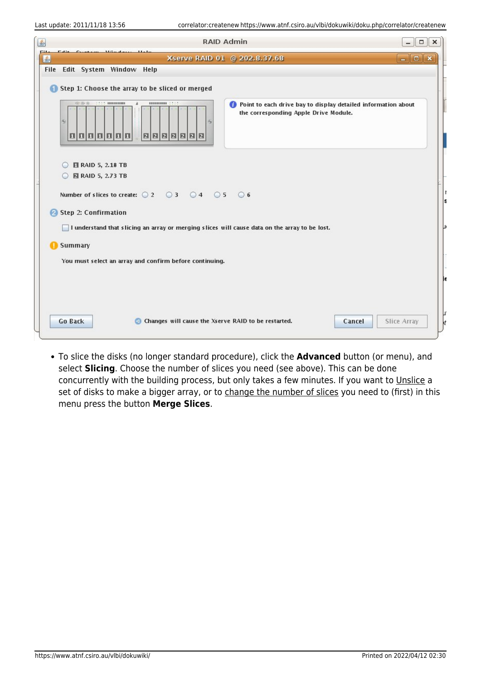| 鱼          | <b>RAID Admin</b><br>$\Box$                                                                                                                                                                                                                       | $\times$ |
|------------|---------------------------------------------------------------------------------------------------------------------------------------------------------------------------------------------------------------------------------------------------|----------|
| ملتتا<br>鱼 | Constant Miliadace<br>$ \ $ $\Box$ $\ $ $\times$<br>Xserve RAID 01 @ 202,8,37.68                                                                                                                                                                  |          |
|            | File Edit System Window Help                                                                                                                                                                                                                      |          |
| iSi.       | Step 1: Choose the array to be sliced or merged<br><b>ASSAULTER DESCRIPTION</b><br><b>HIBBON 2222</b><br>62 00 fb<br>×<br>Point to each drive bay to display detailed information about<br>the corresponding Apple Drive Module.<br>15<br>0000000 |          |
|            | <b>RAID 5, 2.18 TB</b><br><b>Q</b> RAID 5, 2.73 TB<br>$\circ$<br>Number of slices to create: $\bigcirc$ 2 $\bigcirc$ 3 $\bigcirc$ 4 $\bigcirc$ 5 $\bigcirc$ 6                                                                                     |          |
|            | Step 2: Confirmation<br>I understand that slicing an array or merging slices will cause data on the array to be lost.                                                                                                                             |          |
|            | <b>Summary</b><br>You must select an array and confirm before continuing.                                                                                                                                                                         |          |
|            | <b>Go Back</b><br><b>Slice Array</b><br>Changes will cause the Xserve RAID to be restarted.<br>Cancel                                                                                                                                             |          |

To slice the disks (no longer standard procedure), click the **Advanced** button (or menu), and select **Slicing**. Choose the number of slices you need (see above). This can be done concurrently with the building process, but only takes a few minutes. If you want to Unslice a set of disks to make a bigger array, or to change the number of slices you need to (first) in this menu press the button **Merge Slices**.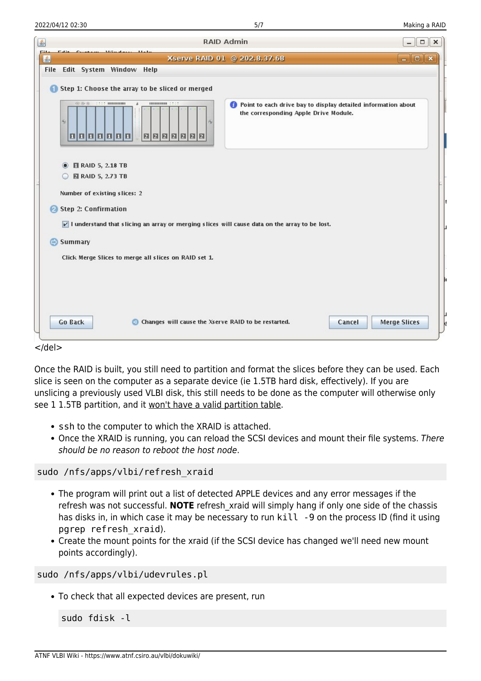| 乡                      | <b>RAID Admin</b><br>$\Box$                                                                                                                                                            | $\times$ |
|------------------------|----------------------------------------------------------------------------------------------------------------------------------------------------------------------------------------|----------|
| <b>CHL</b><br>画        | $ \Box$ $x$<br>Xserve RAID 01 @ 202.8.37.68                                                                                                                                            |          |
|                        | File Edit System Window Help                                                                                                                                                           |          |
|                        | Step 1: Choose the array to be sliced or merged                                                                                                                                        |          |
|                        | <b>HIMMOND 2222</b><br>62 05 66<br>Point to each drive bay to display detailed information about<br>x<br>the corresponding Apple Drive Module.<br>$\approx$<br>n,<br>0000000<br>000000 |          |
|                        | <b>N</b> RAID 5, 2.18 TB<br>$\circ$                                                                                                                                                    |          |
|                        | <b>■ RAID 5, 2.73 TB</b>                                                                                                                                                               |          |
|                        | Number of existing slices: 2                                                                                                                                                           |          |
|                        |                                                                                                                                                                                        |          |
| $\boldsymbol{\varphi}$ | <b>Step 2: Confirmation</b>                                                                                                                                                            |          |
|                        | $\triangledown$ I understand that slicing an array or merging slices will cause data on the array to be lost.                                                                          |          |
| $\Rightarrow$          | <b>Summary</b>                                                                                                                                                                         |          |
|                        | Click Merge Slices to merge all slices on RAID set 1.                                                                                                                                  |          |
|                        |                                                                                                                                                                                        |          |
|                        |                                                                                                                                                                                        |          |
|                        |                                                                                                                                                                                        |          |
|                        |                                                                                                                                                                                        |          |
|                        | <b>Go Back</b><br><b>Merge Slices</b><br>Changes will cause the Xserve RAID to be restarted.<br>Cancel<br>$\blacksquare$                                                               |          |
|                        |                                                                                                                                                                                        |          |
| $<$ /del>              |                                                                                                                                                                                        |          |

Once the RAID is built, you still need to partition and format the slices before they can be used. Each slice is seen on the computer as a separate device (ie 1.5TB hard disk, effectively). If you are unslicing a previously used VLBI disk, this still needs to be done as the computer will otherwise only see 1 1.5TB partition, and it won't have a valid partition table.

- ssh to the computer to which the XRAID is attached.
- Once the XRAID is running, you can reload the SCSI devices and mount their file systems. There should be no reason to reboot the host node.

sudo /nfs/apps/vlbi/refresh\_xraid

- The program will print out a list of detected APPLE devices and any error messages if the refresh was not successful. **NOTE** refresh\_xraid will simply hang if only one side of the chassis has disks in, in which case it may be necessary to run kill -9 on the process ID (find it using pgrep refresh\_xraid).
- Create the mount points for the xraid (if the SCSI device has changed we'll need new mount points accordingly).

sudo /nfs/apps/vlbi/udevrules.pl

To check that all expected devices are present, run

sudo fdisk -l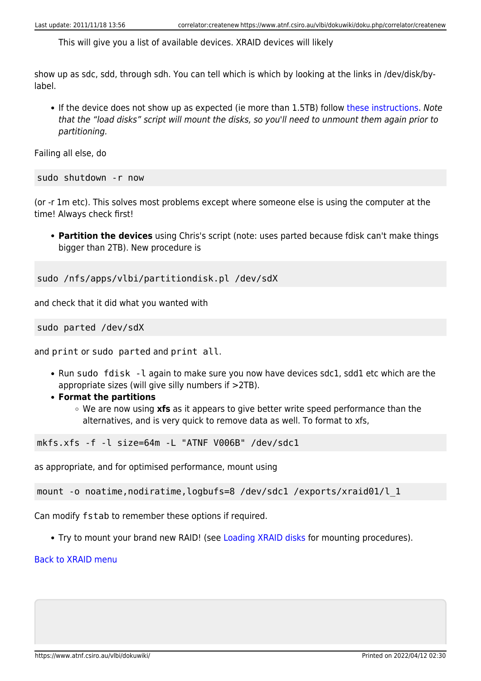This will give you a list of available devices. XRAID devices will likely

show up as sdc, sdd, through sdh. You can tell which is which by looking at the links in /dev/disk/bylabel.

• If the device does not show up as expected (ie more than 1.5TB) follow [these instructions](https://www.atnf.csiro.au/vlbi/dokuwiki/doku.php/correlator/loaddisks). Note that the "load disks" script will mount the disks, so you'll need to unmount them again prior to partitioning.

Failing all else, do

sudo shutdown -r now

(or -r 1m etc). This solves most problems except where someone else is using the computer at the time! Always check first!

**Partition the devices** using Chris's script (note: uses parted because fdisk can't make things bigger than 2TB). New procedure is

sudo /nfs/apps/vlbi/partitiondisk.pl /dev/sdX

and check that it did what you wanted with

sudo parted /dev/sdX

and print or sudo parted and print all.

- Run sudo fdisk -l again to make sure you now have devices sdc1, sdd1 etc which are the appropriate sizes (will give silly numbers if >2TB).
- **Format the partitions**
	- We are now using **xfs** as it appears to give better write speed performance than the alternatives, and is very quick to remove data as well. To format to xfs,

mkfs.xfs -f -l size=64m -L "ATNF V006B" /dev/sdc1

as appropriate, and for optimised performance, mount using

mount -o noatime,nodiratime,logbufs=8 /dev/sdcl /exports/xraid01/l 1

Can modify fstab to remember these options if required.

Try to mount your brand new RAID! (see [Loading XRAID disks](https://www.atnf.csiro.au/vlbi/dokuwiki/doku.php/correlator/loaddisks) for mounting procedures).

## [Back to XRAID menu](https://www.atnf.csiro.au/vlbi/dokuwiki/doku.php/correlator/xraid)